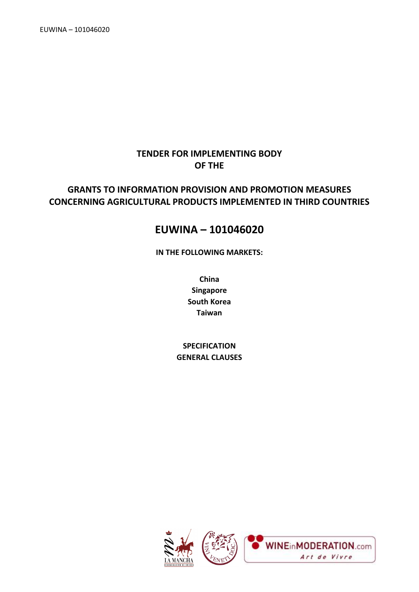## **TENDER FOR IMPLEMENTING BODY OF THE**

## **GRANTS TO INFORMATION PROVISION AND PROMOTION MEASURES CONCERNING AGRICULTURAL PRODUCTS IMPLEMENTED IN THIRD COUNTRIES**

## **EUWINA – 101046020**

**IN THE FOLLOWING MARKETS:**

**China Singapore South Korea Taiwan**

**SPECIFICATION GENERAL CLAUSES**

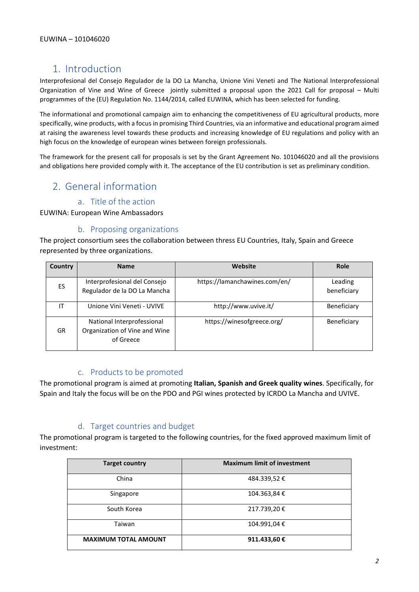## 1. Introduction

Interprofesional del Consejo Regulador de la DO La Mancha, Unione Vini Veneti and The National Interprofessional Organization of Vine and Wine of Greece jointly submitted a proposal upon the 2021 Call for proposal – Multi programmes of the (EU) Regulation No. 1144/2014, called EUWINA, which has been selected for funding.

The informational and promotional campaign aim to enhancing the competitiveness of EU agricultural products, more specifically, wine products, with a focus in promising Third Countries, via an informative and educational program aimed at raising the awareness level towards these products and increasing knowledge of EU regulations and policy with an high focus on the knowledge of european wines between foreign professionals.

The framework for the present call for proposals is set by the Grant Agreement No. 101046020 and all the provisions and obligations here provided comply with it. The acceptance of the EU contribution is set as preliminary condition.

## 2. General information

### a. Title of the action

EUWINA: European Wine Ambassadors

## b. Proposing organizations

The project consortium sees the collaboration between thress EU Countries, Italy, Spain and Greece represented by three organizations.

| <b>Country</b> | <b>Name</b>                                                              | Website                       | <b>Role</b>            |
|----------------|--------------------------------------------------------------------------|-------------------------------|------------------------|
| ES.            | Interprofesional del Consejo<br>Regulador de la DO La Mancha             | https://lamanchawines.com/en/ | Leading<br>beneficiary |
| ΙT             | Unione Vini Veneti - UVIVE                                               | http://www.uvive.it/          | Beneficiary            |
| GR             | National Interprofessional<br>Organization of Vine and Wine<br>of Greece | https://winesofgreece.org/    | Beneficiary            |

### c. Products to be promoted

The promotional program is aimed at promoting **Italian, Spanish and Greek quality wines**. Specifically, for Spain and Italy the focus will be on the PDO and PGI wines protected by ICRDO La Mancha and UVIVE.

## d. Target countries and budget

The promotional program is targeted to the following countries, for the fixed approved maximum limit of investment:

| <b>Target country</b>       | <b>Maximum limit of investment</b> |
|-----------------------------|------------------------------------|
| China                       | 484.339,52 €                       |
| Singapore                   | 104.363,84 €                       |
| South Korea                 | 217.739,20€                        |
| Taiwan                      | 104.991,04€                        |
| <b>MAXIMUM TOTAL AMOUNT</b> | 911.433,60 €                       |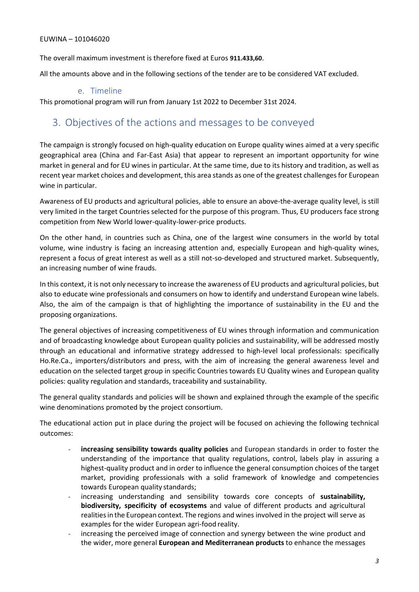The overall maximum investment is therefore fixed at Euros **911.433,60**.

All the amounts above and in the following sections of the tender are to be considered VAT excluded.

## e. Timeline

This promotional program will run from January 1st 2022 to December 31st 2024.

## 3. Objectives of the actions and messages to be conveyed

The campaign is strongly focused on high-quality education on Europe quality wines aimed at a very specific geographical area (China and Far-East Asia) that appear to represent an important opportunity for wine market in general and for EU wines in particular. At the same time, due to its history and tradition, as well as recent year market choices and development, this area stands as one of the greatest challenges for European wine in particular.

Awareness of EU products and agricultural policies, able to ensure an above-the-average quality level, is still very limited in the target Countries selected for the purpose of this program. Thus, EU producers face strong competition from New World lower-quality-lower-price products.

On the other hand, in countries such as China, one of the largest wine consumers in the world by total volume, wine industry is facing an increasing attention and, especially European and high-quality wines, represent a focus of great interest as well as a still not-so-developed and structured market. Subsequently, an increasing number of wine frauds.

In this context, it is not only necessary to increase the awareness of EU products and agricultural policies, but also to educate wine professionals and consumers on how to identify and understand European wine labels. Also, the aim of the campaign is that of highlighting the importance of sustainability in the EU and the proposing organizations.

The general objectives of increasing competitiveness of EU wines through information and communication and of broadcasting knowledge about European quality policies and sustainability, will be addressed mostly through an educational and informative strategy addressed to high-level local professionals: specifically Ho.Re.Ca., importers/distributors and press, with the aim of increasing the general awareness level and education on the selected target group in specific Countries towards EU Quality wines and European quality policies: quality regulation and standards, traceability and sustainability.

The general quality standards and policies will be shown and explained through the example of the specific wine denominations promoted by the project consortium.

The educational action put in place during the project will be focused on achieving the following technical outcomes:

- increasing sensibility towards quality policies and European standards in order to foster the understanding of the importance that quality regulations, control, labels play in assuring a highest-quality product and in order to influence the general consumption choices of the target market, providing professionals with a solid framework of knowledge and competencies towards European quality standards;
- increasing understanding and sensibility towards core concepts of **sustainability, biodiversity, specificity of ecosystems** and value of different products and agricultural realities in the European context. The regions and wines involved in the project will serve as examples for the wider European agri-food reality.
- increasing the perceived image of connection and synergy between the wine product and the wider, more general **European and Mediterranean products** to enhance the messages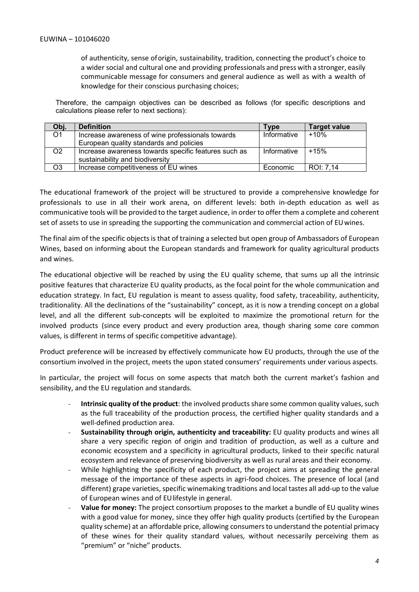of authenticity, sense oforigin, sustainability, tradition, connecting the product's choice to a wider social and cultural one and providing professionals and press with a stronger, easily communicable message for consumers and general audience as well as with a wealth of knowledge for their conscious purchasing choices;

Therefore, the campaign objectives can be described as follows (for specific descriptions and calculations please refer to next sections):

| Obj.           | <b>Definition</b>                                    | Type        | <b>Target value</b> |
|----------------|------------------------------------------------------|-------------|---------------------|
| O <sub>1</sub> | Increase awareness of wine professionals towards     | Informative | $+10%$              |
|                | European quality standards and policies              |             |                     |
| O <sub>2</sub> | Increase awareness towards specific features such as | Informative | $+15%$              |
|                | sustainability and biodiversity                      |             |                     |
| O <sub>3</sub> | Increase competitiveness of EU wines                 | Economic    | ROI: 7,14           |

The educational framework of the project will be structured to provide a comprehensive knowledge for professionals to use in all their work arena, on different levels: both in-depth education as well as communicative tools will be provided to the target audience, in order to offer them a complete and coherent set of assets to use in spreading the supporting the communication and commercial action of EUwines.

The final aim of the specific objects is that of training a selected but open group of Ambassadors of European Wines, based on informing about the European standards and framework for quality agricultural products and wines.

The educational objective will be reached by using the EU quality scheme, that sums up all the intrinsic positive features that characterize EU quality products, as the focal point for the whole communication and education strategy. In fact, EU regulation is meant to assess quality, food safety, traceability, authenticity, traditionality. All the declinations of the "sustainability" concept, as it is now a trending concept on a global level, and all the different sub-concepts will be exploited to maximize the promotional return for the involved products (since every product and every production area, though sharing some core common values, is different in terms of specific competitive advantage).

Product preference will be increased by effectively communicate how EU products, through the use of the consortium involved in the project, meets the upon stated consumers' requirements under various aspects.

In particular, the project will focus on some aspects that match both the current market's fashion and sensibility, and the EU regulation and standards.

- **Intrinsic quality of the product**: the involved products share some common quality values, such as the full traceability of the production process, the certified higher quality standards and a well-defined production area.
- **Sustainability through origin, authenticity and traceability:** EU quality products and wines all share a very specific region of origin and tradition of production, as well as a culture and economic ecosystem and a specificity in agricultural products, linked to their specific natural ecosystem and relevance of preserving biodiversity as well as rural areas and their economy.
- While highlighting the specificity of each product, the project aims at spreading the general message of the importance of these aspects in agri-food choices. The presence of local (and different) grape varieties, specific winemaking traditions and local tastes all add-up to the value of European wines and of EUlifestyle in general.
- **Value for money:** The project consortium proposes to the market a bundle of EU quality wines with a good value for money, since they offer high quality products (certified by the European quality scheme) at an affordable price, allowing consumers to understand the potential primacy of these wines for their quality standard values, without necessarily perceiving them as "premium" or "niche" products.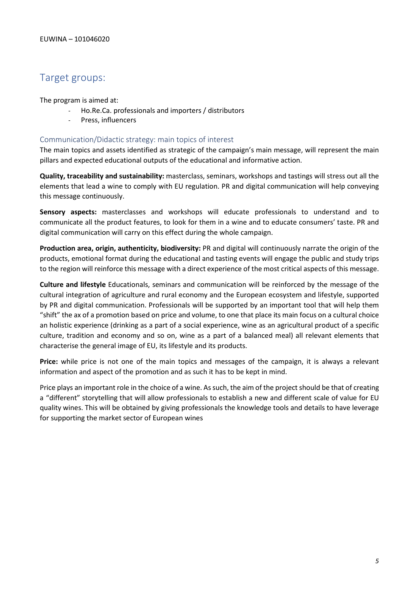## Target groups:

The program is aimed at:

- Ho.Re.Ca. professionals and importers / distributors
- Press, influencers

### Communication/Didactic strategy: main topics of interest

The main topics and assets identified as strategic of the campaign's main message, will represent the main pillars and expected educational outputs of the educational and informative action.

**Quality, traceability and sustainability:** masterclass, seminars, workshops and tastings will stress out all the elements that lead a wine to comply with EU regulation. PR and digital communication will help conveying this message continuously.

**Sensory aspects:** masterclasses and workshops will educate professionals to understand and to communicate all the product features, to look for them in a wine and to educate consumers' taste. PR and digital communication will carry on this effect during the whole campaign.

**Production area, origin, authenticity, biodiversity:** PR and digital will continuously narrate the origin of the products, emotional format during the educational and tasting events will engage the public and study trips to the region will reinforce this message with a direct experience of the most critical aspects of this message.

**Culture and lifestyle** Educationals, seminars and communication will be reinforced by the message of the cultural integration of agriculture and rural economy and the European ecosystem and lifestyle, supported by PR and digital communication. Professionals will be supported by an important tool that will help them "shift" the ax of a promotion based on price and volume, to one that place its main focus on a cultural choice an holistic experience (drinking as a part of a social experience, wine as an agricultural product of a specific culture, tradition and economy and so on, wine as a part of a balanced meal) all relevant elements that characterise the general image of EU, its lifestyle and its products.

Price: while price is not one of the main topics and messages of the campaign, it is always a relevant information and aspect of the promotion and as such it has to be kept in mind.

Price plays an important role in the choice of a wine. As such, the aim of the project should be that of creating a "different" storytelling that will allow professionals to establish a new and different scale of value for EU quality wines. This will be obtained by giving professionals the knowledge tools and details to have leverage for supporting the market sector of European wines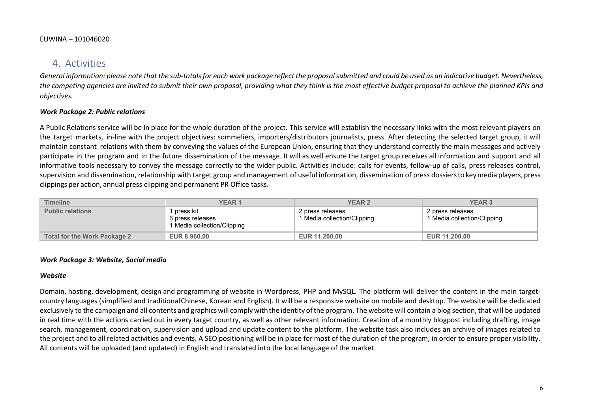## 4. Activities

*General information: please note that the sub-totals for each work package reflect the proposal submitted and could be used as an indicative budget. Nevertheless, the competing agencies are invited to submit their own proposal, providing what they think is the most effective budget proposal to achieve the planned KPIs and objectives.*

## *Work Package 2: Public relations*

A Public Relations service will be in place for the whole duration of the project. This service will establish the necessary links with the most relevant players on the target markets, in-line with the project objectives: sommeliers, importers/distributors journalists, press. After detecting the selected target group, it will maintain constant relations with them by conveying the values of the European Union, ensuring that they understand correctly the main messages and actively participate in the program and in the future dissemination of the message. It will as well ensure the target group receives all information and support and all informative tools necessary to convey the message correctly to the wider public. Activities include: calls for events, follow-up of calls, press releases control, supervision and dissemination, relationship with target group and management of useful information, dissemination of press dossiers to key media players, press clippings per action, annual press clipping and permanent PR Office tasks.

| <b>Timeline</b>                     | <b>YEAR1</b>                                                 | <b>YEAR 2</b>                                   | <b>YEAR 3</b>                                   |
|-------------------------------------|--------------------------------------------------------------|-------------------------------------------------|-------------------------------------------------|
| <b>Public relations</b>             | press kit<br>6 press releases<br>1 Media collection/Clipping | 2 press releases<br>1 Media collection/Clipping | 2 press releases<br>1 Media collection/Clipping |
| <b>Total for the Work Package 2</b> | <b>EUR 8.960.00</b>                                          | <b>EUR 11,200,00</b>                            | EUR 11,200,00                                   |

#### *Work Package 3: Website, Social media*

#### *Website*

Domain, hosting, development, design and programming of website in Wordpress, PHP and MySQL. The platform will deliver the content in the main targetcountry languages (simplified and traditionalChinese, Korean and English). It will be a responsive website on mobile and desktop. The website will be dedicated exclusively to the campaign and all contents and graphicswill comply withthe identity ofthe program. The website will contain a blog section, that will be updated in real time with the actions carried out in every target country, as well as other relevant information. Creation of a monthly blogpost including drafting, image search, management, coordination, supervision and upload and update content to the platform. The website task also includes an archive of images related to the project and to all related activities and events. A SEO positioning will be in place for most of the duration of the program, in order to ensure proper visibility. All contents will be uploaded (and updated) in English and translated into the local language of the market.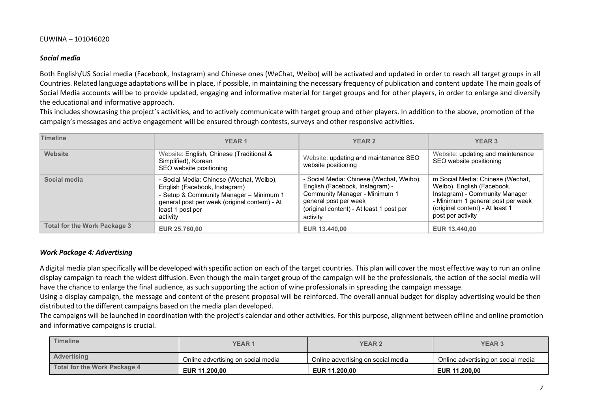#### *Social media*

Both English/US Social media (Facebook, Instagram) and Chinese ones (WeChat, Weibo) will be activated and updated in order to reach all target groups in all Countries. Related language adaptations will be in place, if possible, in maintaining the necessary frequency of publication and content update The main goals of Social Media accounts will be to provide updated, engaging and informative material for target groups and for other players, in order to enlarge and diversify the educational and informative approach.

This includes showcasing the project's activities, and to actively communicate with target group and other players. In addition to the above, promotion of the campaign's messages and active engagement will be ensured through contests, surveys and other responsive activities.

| <b>Timeline</b>                     | <b>YEAR1</b>                                                                                                                                                                                          | <b>YEAR 2</b>                                                                                                                                                                                 | <b>YEAR 3</b>                                                                                                                                                                                 |
|-------------------------------------|-------------------------------------------------------------------------------------------------------------------------------------------------------------------------------------------------------|-----------------------------------------------------------------------------------------------------------------------------------------------------------------------------------------------|-----------------------------------------------------------------------------------------------------------------------------------------------------------------------------------------------|
| Website                             | Website: English, Chinese (Traditional &<br>Simplified), Korean<br>SEO website positioning                                                                                                            | Website: updating and maintenance SEO<br>website positioning                                                                                                                                  | Website: updating and maintenance<br>SEO website positioning                                                                                                                                  |
| Social media                        | - Social Media: Chinese (Wechat, Weibo),<br>English (Facebook, Instagram)<br>- Setup & Community Manager - Minimum 1<br>general post per week (original content) - At<br>least 1 post per<br>activity | - Social Media: Chinese (Wechat, Weibo),<br>English (Facebook, Instagram) -<br>Community Manager - Minimum 1<br>general post per week<br>(original content) - At least 1 post per<br>activity | m Social Media: Chinese (Wechat,<br>Weibo), English (Facebook,<br>Instagram) - Community Manager<br>- Minimum 1 general post per week<br>(original content) - At least 1<br>post per activity |
| <b>Total for the Work Package 3</b> | <b>EUR 25.760,00</b>                                                                                                                                                                                  | EUR 13.440,00                                                                                                                                                                                 | EUR 13.440,00                                                                                                                                                                                 |

#### *Work Package 4: Advertising*

A digital media plan specifically will be developed with specific action on each of the target countries. This plan will cover the most effective way to run an online display campaign to reach the widest diffusion. Even though the main target group of the campaign will be the professionals, the action of the social media will have the chance to enlarge the final audience, as such supporting the action of wine professionals in spreading the campaign message.

Using a display campaign, the message and content of the present proposal will be reinforced. The overall annual budget for display advertising would be then distributed to the different campaigns based on the media plan developed.

The campaigns will be launched in coordination with the project's calendar and other activities. For this purpose, alignment between offline and online promotion and informative campaigns is crucial.

| <b>Timeline</b>              | <b>YEAR 1</b>                      | <b>YEAR 2</b>                      | <b>YEAR 3</b>                      |
|------------------------------|------------------------------------|------------------------------------|------------------------------------|
| Advertising                  | Online advertising on social media | Online advertising on social media | Online advertising on social media |
| Total for the Work Package 4 | EUR 11.200.00                      | EUR 11.200.00                      | <b>EUR 11.200.00</b>               |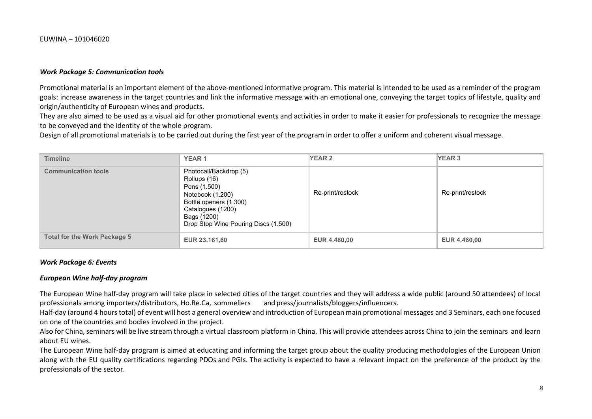#### *Work Package 5: Communication tools*

Promotional material is an important element of the above-mentioned informative program. This material is intended to be used as a reminder of the program goals: increase awareness in the target countries and link the informative message with an emotional one, conveying the target topics of lifestyle, quality and origin/authenticity of European wines and products.

They are also aimed to be used as a visual aid for other promotional events and activities in order to make it easier for professionals to recognize the message to be conveyed and the identity of the whole program.

Design of all promotional materials is to be carried out during the first year of the program in order to offer a uniform and coherent visual message.

| <b>Timeline</b>                     | <b>YEAR1</b>                                                                                                                                                                     | <b>YEAR 2</b>       | YEAR 3              |
|-------------------------------------|----------------------------------------------------------------------------------------------------------------------------------------------------------------------------------|---------------------|---------------------|
| <b>Communication tools</b>          | Photocall/Backdrop (5)<br>Rollups (16)<br>Pens (1.500)<br>Notebook (1.200)<br>Bottle openers (1.300)<br>Catalogues (1200)<br>Bags (1200)<br>Drop Stop Wine Pouring Discs (1.500) | Re-print/restock    | Re-print/restock    |
| <b>Total for the Work Package 5</b> | EUR 23.161,60                                                                                                                                                                    | <b>EUR 4.480,00</b> | <b>EUR 4.480,00</b> |

#### *Work Package 6: Events*

#### *European Wine half-day program*

The European Wine half-day program will take place in selected cities of the target countries and they will address a wide public (around 50 attendees) of local professionals among importers/distributors, Ho.Re.Ca, sommeli professionals among importers/distributors, Ho.Re.Ca, sommeliers

Half-day (around 4 hours total) of event will host a general overview and introduction of European main promotional messages and 3 Seminars, each one focused on one of the countries and bodies involved in the project.

Also for China, seminars will be live stream through a virtual classroom platform in China. This will provide attendees across China to join the seminars and learn about EU wines.

The European Wine half-day program is aimed at educating and informing the target group about the quality producing methodologies of the European Union along with the EU quality certifications regarding PDOs and PGIs. The activity is expected to have a relevant impact on the preference of the product by the professionals of the sector.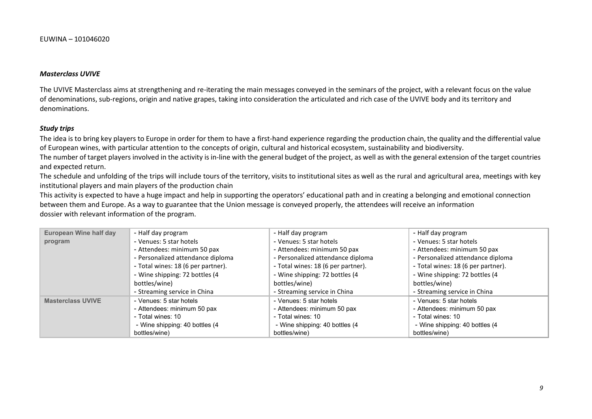#### *Masterclass UVIVE*

The UVIVE Masterclass aims at strengthening and re-iterating the main messages conveyed in the seminars of the project, with a relevant focus on the value of denominations, sub-regions, origin and native grapes, taking into consideration the articulated and rich case of the UVIVE body and its territory and denominations.

#### *Study trips*

The idea is to bring key players to Europe in order for them to have a first-hand experience regarding the production chain, the quality and the differential value of European wines, with particular attention to the concepts of origin, cultural and historical ecosystem, sustainability and biodiversity.

The number of target players involved in the activity is in-line with the general budget of the project, as well as with the general extension of the target countries and expected return.

The schedule and unfolding of the trips will include tours of the territory, visits to institutional sites as well as the rural and agricultural area, meetings with key institutional players and main players of the production chain

This activity is expected to have a huge impact and help in supporting the operators' educational path and in creating a belonging and emotional connection between them and Europe. As a way to guarantee that the Union message is conveyed properly, the attendees will receive an information dossier with relevant information of the program.

| European Wine half day   | - Half day program                 | - Half day program                 | - Half day program                 |
|--------------------------|------------------------------------|------------------------------------|------------------------------------|
| program                  | - Venues: 5 star hotels            | - Venues: 5 star hotels            | - Venues: 5 star hotels            |
|                          | - Attendees: minimum 50 pax        | - Attendees: minimum 50 pax        | - Attendees: minimum 50 pax        |
|                          | - Personalized attendance diploma  | - Personalized attendance diploma  | - Personalized attendance diploma  |
|                          | - Total wines: 18 (6 per partner). | - Total wines: 18 (6 per partner). | - Total wines: 18 (6 per partner). |
|                          | - Wine shipping: 72 bottles (4     | - Wine shipping: 72 bottles (4     | - Wine shipping: 72 bottles (4     |
|                          | bottles/wine)                      | bottles/wine)                      | bottles/wine)                      |
|                          | - Streaming service in China       | - Streaming service in China       | - Streaming service in China       |
| <b>Masterclass UVIVE</b> | - Venues: 5 star hotels            | - Venues: 5 star hotels            | - Venues: 5 star hotels            |
|                          | - Attendees: minimum 50 pax        | - Attendees: minimum 50 pax        | - Attendees: minimum 50 pax        |
|                          | - Total wines: 10                  | - Total wines: 10                  | - Total wines: 10                  |
|                          | - Wine shipping: 40 bottles (4)    | - Wine shipping: 40 bottles (4)    | - Wine shipping: 40 bottles (4)    |
|                          | bottles/wine)                      | bottles/wine)                      | bottles/wine)                      |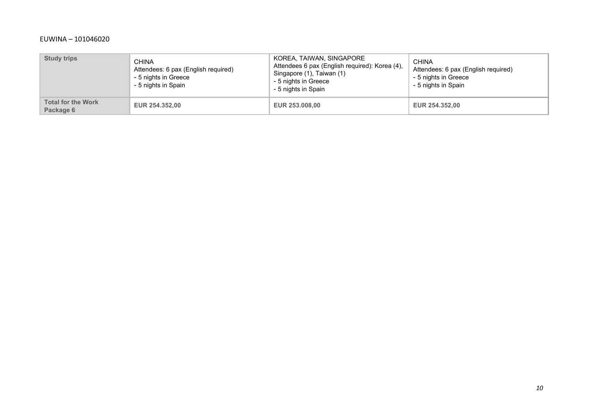| <b>Study trips</b>                     | <b>CHINA</b><br>Attendees: 6 pax (English required)<br>- 5 nights in Greece<br>- 5 nights in Spain | KOREA, TAIWAN, SINGAPORE<br>Attendees 6 pax (English required): Korea (4),<br>Singapore (1), Taiwan (1)<br>- 5 nights in Greece<br>- 5 nights in Spain | <b>CHINA</b><br>Attendees: 6 pax (English required)<br>- 5 nights in Greece<br>- 5 nights in Spain |
|----------------------------------------|----------------------------------------------------------------------------------------------------|--------------------------------------------------------------------------------------------------------------------------------------------------------|----------------------------------------------------------------------------------------------------|
| <b>Total for the Work</b><br>Package 6 | <b>EUR 254,352,00</b>                                                                              | EUR 253.008,00                                                                                                                                         | <b>EUR 254.352,00</b>                                                                              |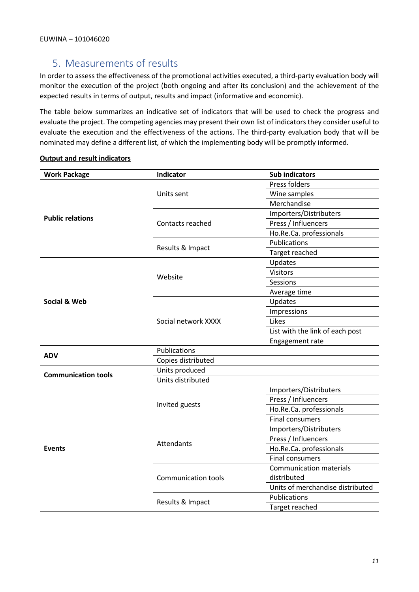# 5. Measurements of results

In order to assess the effectiveness of the promotional activities executed, a third-party evaluation body will monitor the execution of the project (both ongoing and after its conclusion) and the achievement of the expected results in terms of output, results and impact (informative and economic).

The table below summarizes an indicative set of indicators that will be used to check the progress and evaluate the project. The competing agencies may present their own list of indicators they consider useful to evaluate the execution and the effectiveness of the actions. The third-party evaluation body that will be nominated may define a different list, of which the implementing body will be promptly informed.

| <b>Work Package</b>        | Indicator                  | <b>Sub indicators</b>            |  |  |
|----------------------------|----------------------------|----------------------------------|--|--|
|                            |                            | Press folders                    |  |  |
|                            | Units sent                 | Wine samples                     |  |  |
|                            |                            | Merchandise                      |  |  |
| <b>Public relations</b>    |                            | Importers/Distributers           |  |  |
|                            | Contacts reached           | Press / Influencers              |  |  |
|                            |                            | Ho.Re.Ca. professionals          |  |  |
|                            | Results & Impact           | Publications                     |  |  |
|                            |                            | Target reached                   |  |  |
|                            |                            | Updates                          |  |  |
|                            | Website                    | <b>Visitors</b>                  |  |  |
|                            |                            | Sessions                         |  |  |
|                            |                            | Average time                     |  |  |
| Social & Web               |                            | Updates                          |  |  |
|                            |                            | Impressions                      |  |  |
|                            | Social network XXXX        | Likes                            |  |  |
|                            |                            | List with the link of each post  |  |  |
|                            |                            | Engagement rate                  |  |  |
| <b>ADV</b>                 | Publications               |                                  |  |  |
|                            | Copies distributed         |                                  |  |  |
| <b>Communication tools</b> | Units produced             |                                  |  |  |
|                            | Units distributed          |                                  |  |  |
|                            |                            | Importers/Distributers           |  |  |
|                            | Invited guests             | Press / Influencers              |  |  |
|                            |                            | Ho.Re.Ca. professionals          |  |  |
|                            |                            | <b>Final consumers</b>           |  |  |
|                            |                            | Importers/Distributers           |  |  |
|                            | Attendants                 | Press / Influencers              |  |  |
| <b>Events</b>              |                            | Ho.Re.Ca. professionals          |  |  |
|                            |                            | <b>Final consumers</b>           |  |  |
|                            |                            | <b>Communication materials</b>   |  |  |
|                            | <b>Communication tools</b> | distributed                      |  |  |
|                            |                            | Units of merchandise distributed |  |  |
|                            |                            | Publications                     |  |  |
|                            | Results & Impact           | Target reached                   |  |  |

### **Output and result indicators**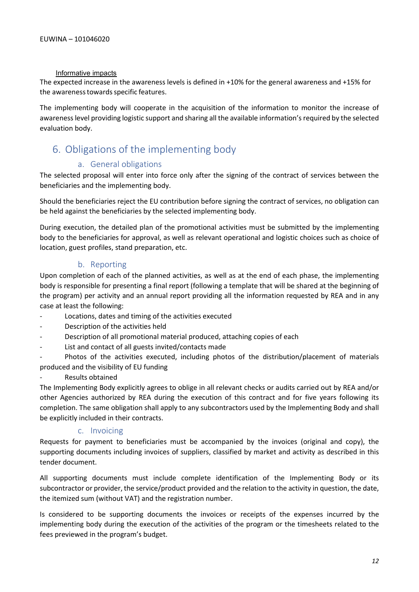#### Informative impacts

The expected increase in the awareness levels is defined in +10% for the general awareness and +15% for the awareness towards specific features.

The implementing body will cooperate in the acquisition of the information to monitor the increase of awareness level providing logistic support and sharing all the available information's required by the selected evaluation body.

## 6. Obligations of the implementing body

## a. General obligations

The selected proposal will enter into force only after the signing of the contract of services between the beneficiaries and the implementing body.

Should the beneficiaries reject the EU contribution before signing the contract of services, no obligation can be held against the beneficiaries by the selected implementing body.

During execution, the detailed plan of the promotional activities must be submitted by the implementing body to the beneficiaries for approval, as well as relevant operational and logistic choices such as choice of location, guest profiles, stand preparation, etc.

## b. Reporting

Upon completion of each of the planned activities, as well as at the end of each phase, the implementing body is responsible for presenting a final report (following a template that will be shared at the beginning of the program) per activity and an annual report providing all the information requested by REA and in any case at least the following:

- Locations, dates and timing of the activities executed
- Description of the activities held
- Description of all promotional material produced, attaching copies of each
- List and contact of all guests invited/contacts made

- Photos of the activities executed, including photos of the distribution/placement of materials produced and the visibility of EU funding

#### Results obtained

The Implementing Body explicitly agrees to oblige in all relevant checks or audits carried out by REA and/or other Agencies authorized by REA during the execution of this contract and for five years following its completion. The same obligation shall apply to any subcontractors used by the Implementing Body and shall be explicitly included in their contracts.

### c. Invoicing

Requests for payment to beneficiaries must be accompanied by the invoices (original and copy), the supporting documents including invoices of suppliers, classified by market and activity as described in this tender document.

All supporting documents must include complete identification of the Implementing Body or its subcontractor or provider, the service/product provided and the relation to the activity in question, the date, the itemized sum (without VAT) and the registration number.

Is considered to be supporting documents the invoices or receipts of the expenses incurred by the implementing body during the execution of the activities of the program or the timesheets related to the fees previewed in the program's budget.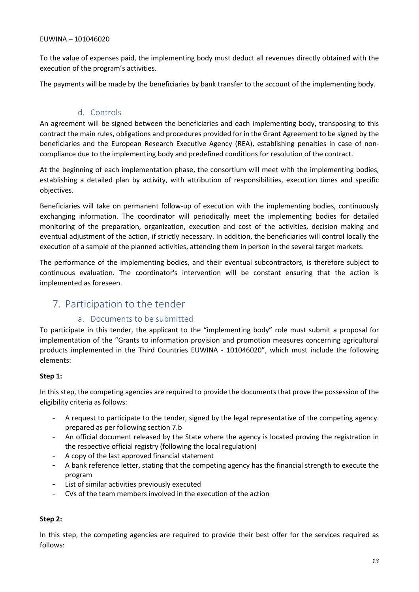To the value of expenses paid, the implementing body must deduct all revenues directly obtained with the execution of the program's activities.

The payments will be made by the beneficiaries by bank transfer to the account of the implementing body.

## d. Controls

An agreement will be signed between the beneficiaries and each implementing body, transposing to this contract the main rules, obligations and procedures provided for in the Grant Agreement to be signed by the beneficiaries and the European Research Executive Agency (REA), establishing penalties in case of noncompliance due to the implementing body and predefined conditions for resolution of the contract.

At the beginning of each implementation phase, the consortium will meet with the implementing bodies, establishing a detailed plan by activity, with attribution of responsibilities, execution times and specific objectives.

Beneficiaries will take on permanent follow-up of execution with the implementing bodies, continuously exchanging information. The coordinator will periodically meet the implementing bodies for detailed monitoring of the preparation, organization, execution and cost of the activities, decision making and eventual adjustment of the action, if strictly necessary. In addition, the beneficiaries will control locally the execution of a sample of the planned activities, attending them in person in the several target markets.

The performance of the implementing bodies, and their eventual subcontractors, is therefore subject to continuous evaluation. The coordinator's intervention will be constant ensuring that the action is implemented as foreseen.

## 7. Participation to the tender

### a. Documents to be submitted

To participate in this tender, the applicant to the "implementing body" role must submit a proposal for implementation of the "Grants to information provision and promotion measures concerning agricultural products implemented in the Third Countries EUWINA - 101046020", which must include the following elements:

### **Step 1:**

In this step, the competing agencies are required to provide the documents that prove the possession of the eligibility criteria as follows:

- A request to participate to the tender, signed by the legal representative of the competing agency. prepared as per following section 7.b
- An official document released by the State where the agency is located proving the registration in the respective official registry (following the local regulation)
- A copy of the last approved financial statement
- A bank reference letter, stating that the competing agency has the financial strength to execute the program
- List of similar activities previously executed
- CVs of the team members involved in the execution of the action

## **Step 2:**

In this step, the competing agencies are required to provide their best offer for the services required as follows: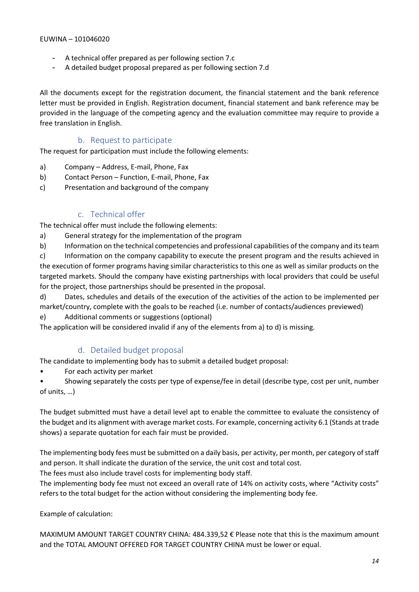- A technical offer prepared as per following section 7.c
- A detailed budget proposal prepared as per following section 7.d

All the documents except for the registration document, the financial statement and the bank reference letter must be provided in English. Registration document, financial statement and bank reference may be provided in the language of the competing agency and the evaluation committee may require to provide a free translation in English.

## b. Request to participate

The request for participation must include the following elements:

- a) Company Address, E-mail, Phone, Fax
- b) Contact Person Function, E-mail, Phone, Fax
- c) Presentation and background of the company

## c. Technical offer

The technical offer must include the following elements:

- a) General strategy for the implementation of the program
- b) Information on the technical competencies and professional capabilities of the company and its team

c) Information on the company capability to execute the present program and the results achieved in the execution of former programs having similar characteristics to this one as well as similar products on the targeted markets. Should the company have existing partnerships with local providers that could be useful for the project, those partnerships should be presented in the proposal.

d) Dates, schedules and details of the execution of the activities of the action to be implemented per market/country, complete with the goals to be reached (i.e. number of contacts/audiences previewed)

e) Additional comments or suggestions (optional)

The application will be considered invalid if any of the elements from a) to d) is missing.

### d. Detailed budget proposal

The candidate to implementing body has to submit a detailed budget proposal:

For each activity per market

• Showing separately the costs per type of expense/fee in detail (describe type, cost per unit, number of units, …)

The budget submitted must have a detail level apt to enable the committee to evaluate the consistency of the budget and its alignment with average market costs. For example, concerning activity 6.1 (Stands at trade shows) a separate quotation for each fair must be provided.

The implementing body fees must be submitted on a daily basis, per activity, per month, per category of staff and person. It shall indicate the duration of the service, the unit cost and total cost.

The fees must also include travel costs for implementing body staff.

The implementing body fee must not exceed an overall rate of 14% on activity costs, where "Activity costs" refers to the total budget for the action without considering the implementing body fee.

Example of calculation:

MAXIMUM AMOUNT TARGET COUNTRY CHINA: 484.339,52 € Please note that this is the maximum amount and the TOTAL AMOUNT OFFERED FOR TARGET COUNTRY CHINA must be lower or equal.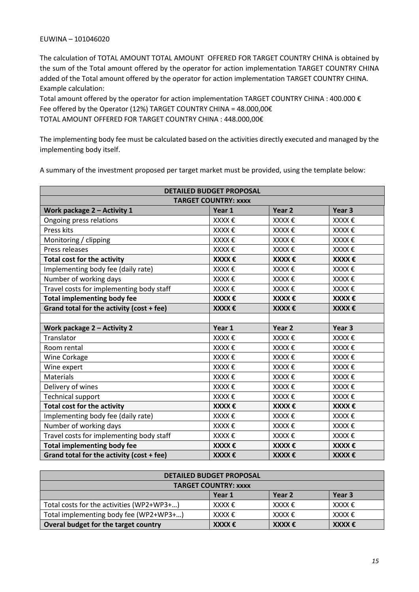The calculation of TOTAL AMOUNT TOTAL AMOUNT OFFERED FOR TARGET COUNTRY CHINA is obtained by the sum of the Total amount offered by the operator for action implementation TARGET COUNTRY CHINA added of the Total amount offered by the operator for action implementation TARGET COUNTRY CHINA. Example calculation:

Total amount offered by the operator for action implementation TARGET COUNTRY CHINA : 400.000 € Fee offered by the Operator (12%) TARGET COUNTRY CHINA = 48.000,00€ TOTAL AMOUNT OFFERED FOR TARGET COUNTRY CHINA : 448.000,00€

The implementing body fee must be calculated based on the activities directly executed and managed by the implementing body itself.

A summary of the investment proposed per target market must be provided, using the template below:

| <b>DETAILED BUDGET PROPOSAL</b>                                         |           |                   |           |  |  |
|-------------------------------------------------------------------------|-----------|-------------------|-----------|--|--|
| <b>TARGET COUNTRY: XXXX</b>                                             |           |                   |           |  |  |
| Work package 2 - Activity 1                                             | Year 1    | Year <sub>2</sub> | Year 3    |  |  |
| Ongoing press relations                                                 | $XXX \in$ | $XXX \in$         | $XXX \in$ |  |  |
| Press kits                                                              | XXXX €    | XXXX €            | XXXX €    |  |  |
| Monitoring / clipping                                                   | XXXX €    | XXXX €            | XXXX €    |  |  |
| Press releases                                                          | XXXX €    | $XXX \in$         | $XXX \in$ |  |  |
| <b>Total cost for the activity</b>                                      | XXXX €    | XXXX €            | $XXX \in$ |  |  |
| Implementing body fee (daily rate)                                      | XXXX €    | XXXX €            | XXXX €    |  |  |
| Number of working days                                                  | XXXX €    | XXXX €            | XXXX €    |  |  |
| Travel costs for implementing body staff                                | XXXX €    | XXXX €            | XXXX €    |  |  |
| <b>Total implementing body fee</b>                                      | XXXX €    | XXXX €            | XXXX €    |  |  |
| Grand total for the activity (cost + fee)                               | XXXX €    | $XXX \in$         | $XXX \in$ |  |  |
|                                                                         |           |                   |           |  |  |
| Work package 2 - Activity 2                                             | Year 1    | Year <sub>2</sub> | Year 3    |  |  |
| Translator                                                              | $XXX \in$ | XXXX €            | XXXX €    |  |  |
| Room rental                                                             | XXXX €    | XXXX €            | XXXX €    |  |  |
| Wine Corkage                                                            | XXXX €    | XXXX €            | XXXX €    |  |  |
| Wine expert                                                             | XXXX €    | $XXX \in$         | XXXX €    |  |  |
| Materials                                                               | XXXX €    | XXXX €            | XXXX €    |  |  |
| Delivery of wines                                                       | XXXX €    | XXXX €            | XXXX €    |  |  |
| <b>Technical support</b>                                                | XXXX €    | $XXX \in$         | XXXX €    |  |  |
| <b>Total cost for the activity</b>                                      | XXXX €    | XXXX €            | XXXX €    |  |  |
| Implementing body fee (daily rate)                                      | XXXX €    | XXXX €            | XXXX €    |  |  |
| Number of working days                                                  | $XXX \in$ | $XXX \in$         | $XXX \in$ |  |  |
| Travel costs for implementing body staff                                | XXXX €    | XXXX €            | XXXX €    |  |  |
| <b>Total implementing body fee</b>                                      | XXXX €    | XXXX €            | XXXX €    |  |  |
| Grand total for the activity (cost + fee)<br>XXXX €<br>XXXX €<br>XXXX € |           |                   |           |  |  |

| <b>DETAILED BUDGET PROPOSAL</b>                                                |            |           |           |  |
|--------------------------------------------------------------------------------|------------|-----------|-----------|--|
| <b>TARGET COUNTRY: XXXX</b>                                                    |            |           |           |  |
| Year 2<br>Year 3<br>Year 1                                                     |            |           |           |  |
| Total costs for the activities (WP2+WP3+)                                      | $XXXX \in$ | $XXX \in$ | $XXX \in$ |  |
| Total implementing body fee (WP2+WP3+)<br>$XXX \in$<br>$XXX \in$<br>$XXXX \in$ |            |           |           |  |
| Overal budget for the target country                                           | XXXK       | $XXX \in$ | $XXX \in$ |  |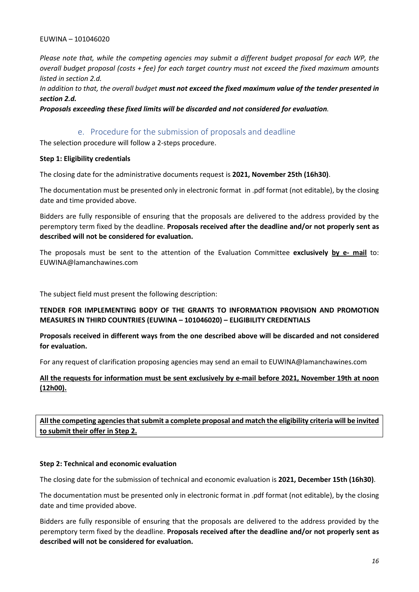*Please note that, while the competing agencies may submit a different budget proposal for each WP, the overall budget proposal (costs + fee) for each target country must not exceed the fixed maximum amounts listed in section 2.d.*

*In addition to that, the overall budget must not exceed the fixed maximum value of the tender presented in section 2.d.* 

*Proposals exceeding these fixed limits will be discarded and not considered for evaluation.*

## e. Procedure for the submission of proposals and deadline

The selection procedure will follow a 2-steps procedure.

#### **Step 1: Eligibility credentials**

The closing date for the administrative documents request is **2021, November 25th (16h30)**.

The documentation must be presented only in electronic format in .pdf format (not editable), by the closing date and time provided above.

Bidders are fully responsible of ensuring that the proposals are delivered to the address provided by the peremptory term fixed by the deadline. **Proposals received after the deadline and/or not properly sent as described will not be considered for evaluation.**

The proposals must be sent to the attention of the Evaluation Committee **exclusively by e- mail** to: EUWINA@lamanchawines.com

The subject field must present the following description:

### **TENDER FOR IMPLEMENTING BODY OF THE GRANTS TO INFORMATION PROVISION AND PROMOTION MEASURES IN THIRD COUNTRIES (EUWINA – 101046020) – ELIGIBILITY CREDENTIALS**

### **Proposals received in different ways from the one described above will be discarded and not considered for evaluation.**

For any request of clarification proposing agencies may send an email to EUWINA@lamanchawines.com

### **All the requests for information must be sent exclusively by e-mail before 2021, November 19th at noon (12h00).**

**All the competing agencies that submit a complete proposal and match the eligibility criteria will be invited to submit their offer in Step 2.**

#### **Step 2: Technical and economic evaluation**

The closing date for the submission of technical and economic evaluation is **2021, December 15th (16h30)**.

The documentation must be presented only in electronic format in .pdf format (not editable), by the closing date and time provided above.

Bidders are fully responsible of ensuring that the proposals are delivered to the address provided by the peremptory term fixed by the deadline. **Proposals received after the deadline and/or not properly sent as described will not be considered for evaluation.**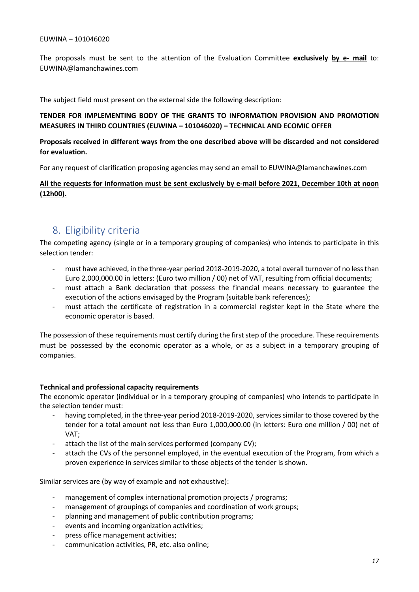The proposals must be sent to the attention of the Evaluation Committee **exclusively by e- mail** to: EUWINA@lamanchawines.com

The subject field must present on the external side the following description:

### **TENDER FOR IMPLEMENTING BODY OF THE GRANTS TO INFORMATION PROVISION AND PROMOTION MEASURES IN THIRD COUNTRIES (EUWINA – 101046020) – TECHNICAL AND ECOMIC OFFER**

#### **Proposals received in different ways from the one described above will be discarded and not considered for evaluation.**

For any request of clarification proposing agencies may send an email to EUWINA@lamanchawines.com

#### **All the requests for information must be sent exclusively by e-mail before 2021, December 10th at noon (12h00).**

## 8. Eligibility criteria

The competing agency (single or in a temporary grouping of companies) who intends to participate in this selection tender:

- must have achieved, in the three-year period 2018-2019-2020, a total overall turnover of no less than Euro 2,000,000.00 in letters: (Euro two million / 00) net of VAT, resulting from official documents;
- must attach a Bank declaration that possess the financial means necessary to guarantee the execution of the actions envisaged by the Program (suitable bank references);
- must attach the certificate of registration in a commercial register kept in the State where the economic operator is based.

The possession of these requirements must certify during the first step of the procedure. These requirements must be possessed by the economic operator as a whole, or as a subject in a temporary grouping of companies.

#### **Technical and professional capacity requirements**

The economic operator (individual or in a temporary grouping of companies) who intends to participate in the selection tender must:

- having completed, in the three-year period 2018-2019-2020, services similar to those covered by the tender for a total amount not less than Euro 1,000,000.00 (in letters: Euro one million / 00) net of VAT;
- attach the list of the main services performed (company CV);
- attach the CVs of the personnel employed, in the eventual execution of the Program, from which a proven experience in services similar to those objects of the tender is shown.

Similar services are (by way of example and not exhaustive):

- management of complex international promotion projects / programs;
- management of groupings of companies and coordination of work groups;
- planning and management of public contribution programs;
- events and incoming organization activities;
- press office management activities;
- communication activities, PR, etc. also online;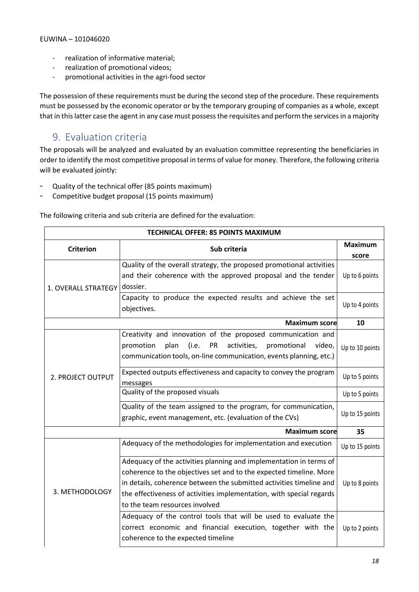- realization of informative material;
- realization of promotional videos;
- promotional activities in the agri-food sector

The possession of these requirements must be during the second step of the procedure. These requirements must be possessed by the economic operator or by the temporary grouping of companies as a whole, except that in this latter case the agent in any case must possess the requisites and perform the services in a majority

## 9. Evaluation criteria

The proposals will be analyzed and evaluated by an evaluation committee representing the beneficiaries in order to identify the most competitive proposal in terms of value for money. Therefore, the following criteria will be evaluated jointly:

- Quality of the technical offer (85 points maximum)
- Competitive budget proposal (15 points maximum)

The following criteria and sub criteria are defined for the evaluation:

| <b>TECHNICAL OFFER: 85 POINTS MAXIMUM</b> |                                                                          |                 |  |  |
|-------------------------------------------|--------------------------------------------------------------------------|-----------------|--|--|
| <b>Criterion</b><br>Sub criteria          | <b>Maximum</b>                                                           |                 |  |  |
|                                           |                                                                          | score           |  |  |
| 1. OVERALL STRATEGY                       | Quality of the overall strategy, the proposed promotional activities     |                 |  |  |
|                                           | and their coherence with the approved proposal and the tender            | Up to 6 points  |  |  |
|                                           | dossier.                                                                 |                 |  |  |
|                                           | Capacity to produce the expected results and achieve the set             |                 |  |  |
|                                           | objectives.                                                              | Up to 4 points  |  |  |
|                                           | <b>Maximum score</b>                                                     | 10              |  |  |
|                                           | Creativity and innovation of the proposed communication and              |                 |  |  |
|                                           | plan<br>(i.e.<br>PR<br>activities,<br>promotional<br>promotion<br>video, | Up to 10 points |  |  |
| 2. PROJECT OUTPUT                         | communication tools, on-line communication, events planning, etc.)       |                 |  |  |
|                                           | Expected outputs effectiveness and capacity to convey the program        | Up to 5 points  |  |  |
|                                           | messages                                                                 |                 |  |  |
|                                           | Quality of the proposed visuals                                          | Up to 5 points  |  |  |
|                                           | Quality of the team assigned to the program, for communication,          |                 |  |  |
|                                           | graphic, event management, etc. (evaluation of the CVs)                  | Up to 15 points |  |  |
| <b>Maximum score</b>                      |                                                                          |                 |  |  |
|                                           | Adequacy of the methodologies for implementation and execution           | Up to 15 points |  |  |
|                                           | Adequacy of the activities planning and implementation in terms of       |                 |  |  |
|                                           | coherence to the objectives set and to the expected timeline. More       |                 |  |  |
|                                           | in details, coherence between the submitted activities timeline and      | Up to 8 points  |  |  |
| 3. METHODOLOGY                            | the effectiveness of activities implementation, with special regards     |                 |  |  |
|                                           | to the team resources involved                                           |                 |  |  |
|                                           | Adequacy of the control tools that will be used to evaluate the          |                 |  |  |
|                                           | correct economic and financial execution, together with the              | Up to 2 points  |  |  |
|                                           | coherence to the expected timeline                                       |                 |  |  |
|                                           |                                                                          |                 |  |  |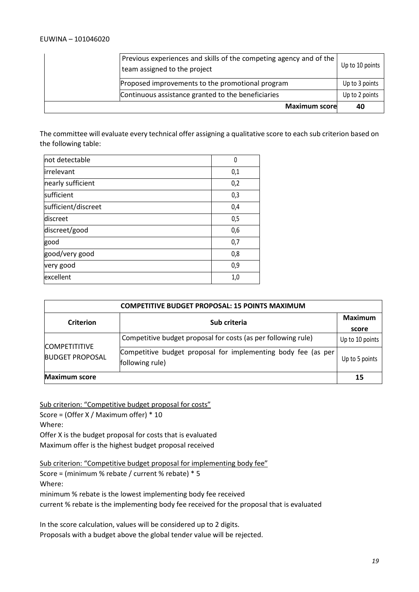| <b>Maximum score</b>                                                                               | 40              |
|----------------------------------------------------------------------------------------------------|-----------------|
| Continuous assistance granted to the beneficiaries                                                 | Up to 2 points  |
| Proposed improvements to the promotional program                                                   | Up to 3 points  |
| Previous experiences and skills of the competing agency and of the<br>team assigned to the project | Up to 10 points |

The committee will evaluate every technical offer assigning a qualitative score to each sub criterion based on the following table:

| not detectable      | 0   |
|---------------------|-----|
| lirrelevant         | 0,1 |
| nearly sufficient   | 0,2 |
| sufficient          | 0,3 |
| sufficient/discreet | 0,4 |
| discreet            | 0,5 |
| discreet/good       | 0,6 |
| good                | 0,7 |
| good/very good      | 0,8 |
| very good           | 0,9 |
| excellent           | 1,0 |

| <b>COMPETITIVE BUDGET PROPOSAL: 15 POINTS MAXIMUM</b> |                                                                                  |                  |  |  |
|-------------------------------------------------------|----------------------------------------------------------------------------------|------------------|--|--|
| <b>Criterion</b>                                      | Sub criteria                                                                     | Maximum<br>score |  |  |
| <b>COMPETITITIVE</b><br><b>BUDGET PROPOSAL</b>        | Competitive budget proposal for costs (as per following rule)                    | Up to 10 points  |  |  |
|                                                       | Competitive budget proposal for implementing body fee (as per<br>following rule) | Up to 5 points   |  |  |
| <b>Maximum score</b>                                  |                                                                                  | 15               |  |  |

Sub criterion: "Competitive budget proposal for costs"

Score = (Offer X / Maximum offer) \* 10

Where:

Offer X is the budget proposal for costs that is evaluated

Maximum offer is the highest budget proposal received

Sub criterion: "Competitive budget proposal for implementing body fee"

Score = (minimum % rebate / current % rebate) \* 5 Where:

minimum % rebate is the lowest implementing body fee received

current % rebate is the implementing body fee received for the proposal that is evaluated

In the score calculation, values will be considered up to 2 digits. Proposals with a budget above the global tender value will be rejected.